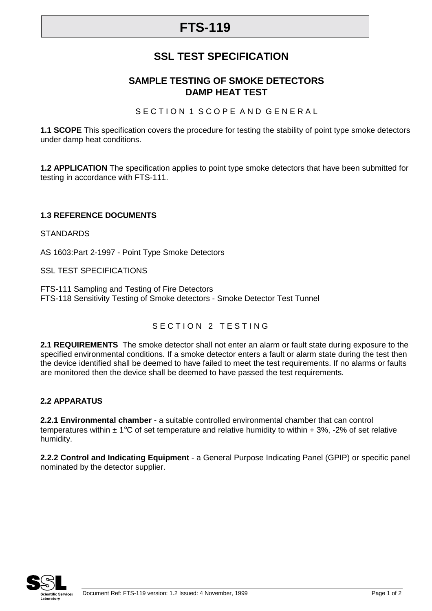# **FTS-119**

## **SSL TEST SPECIFICATION**

### **SAMPLE TESTING OF SMOKE DETECTORS DAMP HEAT TEST**

SECTION 1 SCOPE AND GENERAL

**1.1 SCOPE** This specification covers the procedure for testing the stability of point type smoke detectors under damp heat conditions.

**1.2 APPLICATION** The specification applies to point type smoke detectors that have been submitted for testing in accordance with FTS-111.

#### **1.3 REFERENCE DOCUMENTS**

**STANDARDS** 

AS 1603:Part 2-1997 - Point Type Smoke Detectors

SSL TEST SPECIFICATIONS

FTS-111 Sampling and Testing of Fire Detectors FTS-118 Sensitivity Testing of Smoke detectors - Smoke Detector Test Tunnel

#### SECTION 2 TESTING

**2.1 REQUIREMENTS** The smoke detector shall not enter an alarm or fault state during exposure to the specified environmental conditions. If a smoke detector enters a fault or alarm state during the test then the device identified shall be deemed to have failed to meet the test requirements. If no alarms or faults are monitored then the device shall be deemed to have passed the test requirements.

#### **2.2 APPARATUS**

**2.2.1 Environmental chamber** - a suitable controlled environmental chamber that can control temperatures within  $\pm 1^{\circ}$ C of set temperature and relative humidity to within  $+ 3\%$ , -2% of set relative humidity.

**2.2.2 Control and Indicating Equipment** - a General Purpose Indicating Panel (GPIP) or specific panel nominated by the detector supplier.